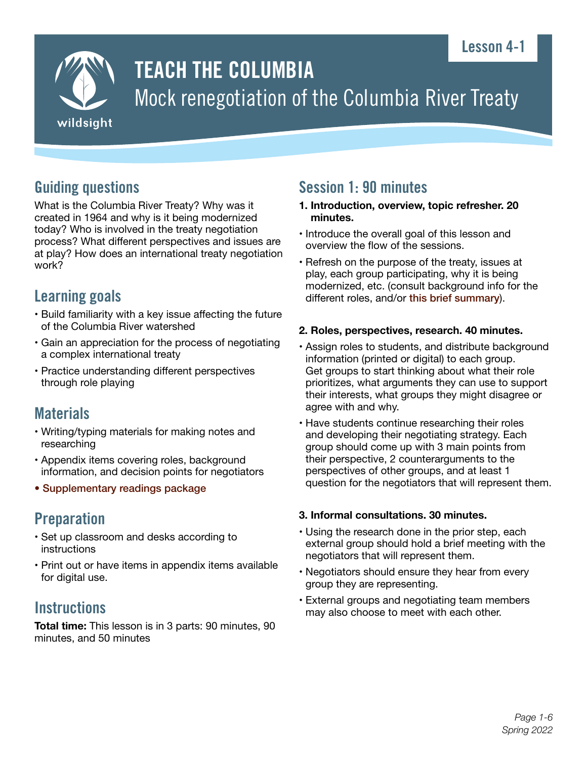# Lesson 4-1



# TEACH THE COLUMBIA Mock renegotiation of the Columbia River Treaty

# Guiding questions

What is the Columbia River Treaty? Why was it created in 1964 and why is it being modernized today? Who is involved in the treaty negotiation process? What different perspectives and issues are at play? How does an international treaty negotiation work?

# Learning goals

- Build familiarity with a key issue affecting the future of the Columbia River watershed
- Gain an appreciation for the process of negotiating a complex international treaty
- Practice understanding different perspectives through role playing

# **Materials**

- Writing/typing materials for making notes and researching
- Appendix items covering roles, background information, and decision points for negotiators
- [Supplementary readings package](https://wildsight.ca/programs/teach-the-columbia/mock-negotiation-materials/)

# **Preparation**

- Set up classroom and desks according to instructions
- Print out or have items in appendix items available for digital use.

# **Instructions**

**Total time:** This lesson is in 3 parts: 90 minutes, 90 minutes, and 50 minutes

# Session 1: 90 minutes

- **1. Introduction, overview, topic refresher. 20 minutes.**
- Introduce the overall goal of this lesson and overview the flow of the sessions.
- Refresh on the purpose of the treaty, issues at play, each group participating, why it is being modernized, etc. (consult background info for the different roles, and/or [this brief summary](https://engage.gov.bc.ca/columbiarivertreaty/the-treaty/)).

### **2. Roles, perspectives, research. 40 minutes.**

- Assign roles to students, and distribute background information (printed or digital) to each group. Get groups to start thinking about what their role prioritizes, what arguments they can use to support their interests, what groups they might disagree or agree with and why.
- Have students continue researching their roles and developing their negotiating strategy. Each group should come up with 3 main points from their perspective, 2 counterarguments to the perspectives of other groups, and at least 1 question for the negotiators that will represent them.

### **3. Informal consultations. 30 minutes.**

- Using the research done in the prior step, each external group should hold a brief meeting with the negotiators that will represent them.
- Negotiators should ensure they hear from every group they are representing.
- External groups and negotiating team members may also choose to meet with each other.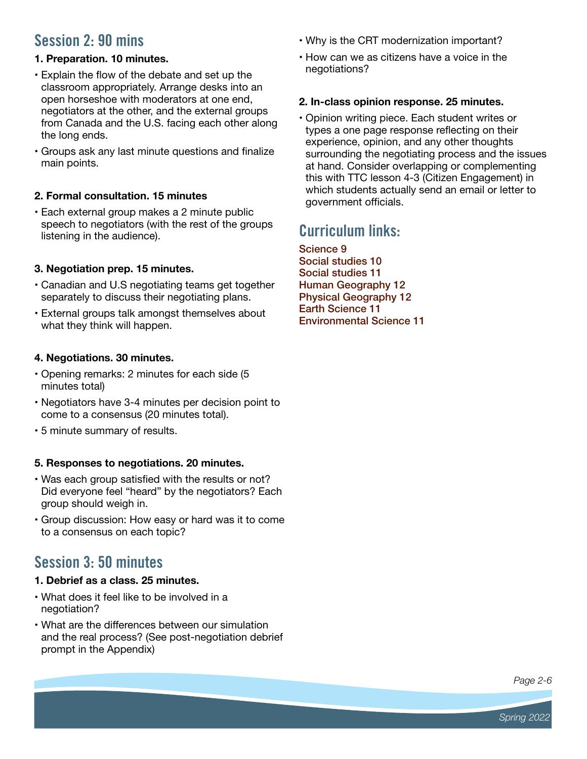# Session 2: 90 mins

## **1. Preparation. 10 minutes.**

- Explain the flow of the debate and set up the classroom appropriately. Arrange desks into an open horseshoe with moderators at one end, negotiators at the other, and the external groups from Canada and the U.S. facing each other along the long ends.
- Groups ask any last minute questions and finalize main points.

## **2. Formal consultation. 15 minutes**

• Each external group makes a 2 minute public speech to negotiators (with the rest of the groups listening in the audience).

# **3. Negotiation prep. 15 minutes.**

- Canadian and U.S negotiating teams get together separately to discuss their negotiating plans.
- External groups talk amongst themselves about what they think will happen.

## **4. Negotiations. 30 minutes.**

- Opening remarks: 2 minutes for each side (5 minutes total)
- Negotiators have 3-4 minutes per decision point to come to a consensus (20 minutes total).
- 5 minute summary of results.

## **5. Responses to negotiations. 20 minutes.**

- Was each group satisfied with the results or not? Did everyone feel "heard" by the negotiators? Each group should weigh in.
- Group discussion: How easy or hard was it to come to a consensus on each topic?

# Session 3: 50 minutes

## **1. Debrief as a class. 25 minutes.**

- What does it feel like to be involved in a negotiation?
- What are the differences between our simulation and the real process? (See post-negotiation debrief prompt in the Appendix)
- Why is the CRT modernization important?
- How can we as citizens have a voice in the negotiations?

### **2. In-class opinion response. 25 minutes.**

• Opinion writing piece. Each student writes or types a one page response reflecting on their experience, opinion, and any other thoughts surrounding the negotiating process and the issues at hand. Consider overlapping or complementing this with TTC lesson 4-3 (Citizen Engagement) in which students actually send an email or letter to government officials.

# Curriculum links:

[Science 9](https://curriculum.gov.bc.ca/curriculum/science/9) [Social studies 10](https://curriculum.gov.bc.ca/curriculum/social-studies/10/) [Social studies 11](https://curriculum.gov.bc.ca/curriculum/social-studies/11/explorations-in-social-studies) [Human Geography 12](https://curriculum.gov.bc.ca/curriculum/social-studies/12/bc-first-peoples) [Physical Geography 12](https://curriculum.gov.bc.ca/curriculum/social-studies/12/physical-geography) [Earth Science 11](https://curriculum.gov.bc.ca/curriculum/science/11/earth-sciences) [Environmental Science 11](https://curriculum.gov.bc.ca/curriculum/science/11/environmental-science)

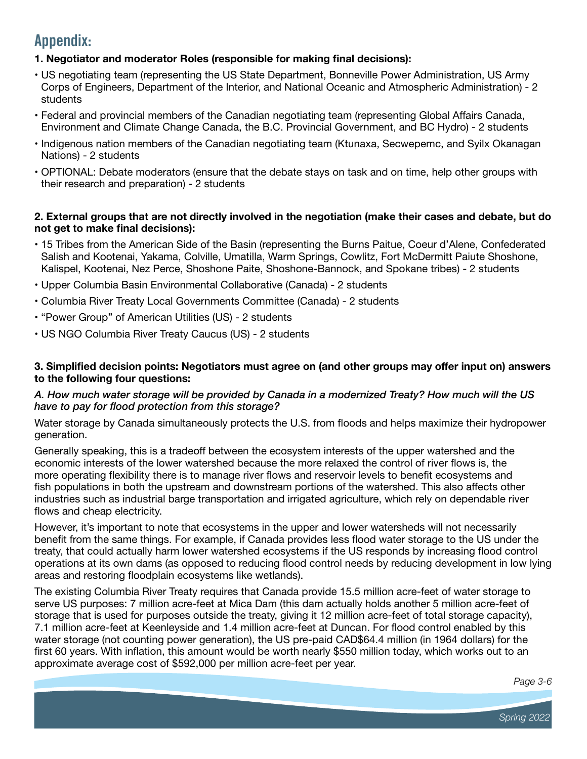# Appendix:

### **1. Negotiator and moderator Roles (responsible for making final decisions):**

- US negotiating team (representing the US State Department, Bonneville Power Administration, US Army Corps of Engineers, Department of the Interior, and National Oceanic and Atmospheric Administration) - 2 students
- Federal and provincial members of the Canadian negotiating team (representing Global Affairs Canada, Environment and Climate Change Canada, the B.C. Provincial Government, and BC Hydro) - 2 students
- Indigenous nation members of the Canadian negotiating team (Ktunaxa, Secwepemc, and Syilx Okanagan Nations) - 2 students
- OPTIONAL: Debate moderators (ensure that the debate stays on task and on time, help other groups with their research and preparation) - 2 students

### **2. External groups that are not directly involved in the negotiation (make their cases and debate, but do not get to make final decisions):**

- 15 Tribes from the American Side of the Basin (representing the Burns Paitue, Coeur d'Alene, Confederated Salish and Kootenai, Yakama, Colville, Umatilla, Warm Springs, Cowlitz, Fort McDermitt Paiute Shoshone, Kalispel, Kootenai, Nez Perce, Shoshone Paite, Shoshone-Bannock, and Spokane tribes) - 2 students
- Upper Columbia Basin Environmental Collaborative (Canada) 2 students
- Columbia River Treaty Local Governments Committee (Canada) 2 students
- "Power Group" of American Utilities (US) 2 students
- US NGO Columbia River Treaty Caucus (US) 2 students

### **3. Simplified decision points: Negotiators must agree on (and other groups may offer input on) answers to the following four questions:**

### *A. How much water storage will be provided by Canada in a modernized Treaty? How much will the US have to pay for flood protection from this storage?*

Water storage by Canada simultaneously protects the U.S. from floods and helps maximize their hydropower generation.

Generally speaking, this is a tradeoff between the ecosystem interests of the upper watershed and the economic interests of the lower watershed because the more relaxed the control of river flows is, the more operating flexibility there is to manage river flows and reservoir levels to benefit ecosystems and fish populations in both the upstream and downstream portions of the watershed. This also affects other industries such as industrial barge transportation and irrigated agriculture, which rely on dependable river flows and cheap electricity.

However, it's important to note that ecosystems in the upper and lower watersheds will not necessarily benefit from the same things. For example, if Canada provides less flood water storage to the US under the treaty, that could actually harm lower watershed ecosystems if the US responds by increasing flood control operations at its own dams (as opposed to reducing flood control needs by reducing development in low lying areas and restoring floodplain ecosystems like wetlands).

The existing Columbia River Treaty requires that Canada provide 15.5 million acre-feet of water storage to serve US purposes: 7 million acre-feet at Mica Dam (this dam actually holds another 5 million acre-feet of storage that is used for purposes outside the treaty, giving it 12 million acre-feet of total storage capacity), 7.1 million acre-feet at Keenleyside and 1.4 million acre-feet at Duncan. For flood control enabled by this water storage (not counting power generation), the US pre-paid CAD\$64.4 million (in 1964 dollars) for the first 60 years. With inflation, this amount would be worth nearly \$550 million today, which works out to an approximate average cost of \$592,000 per million acre-feet per year.

*Page 3-6*

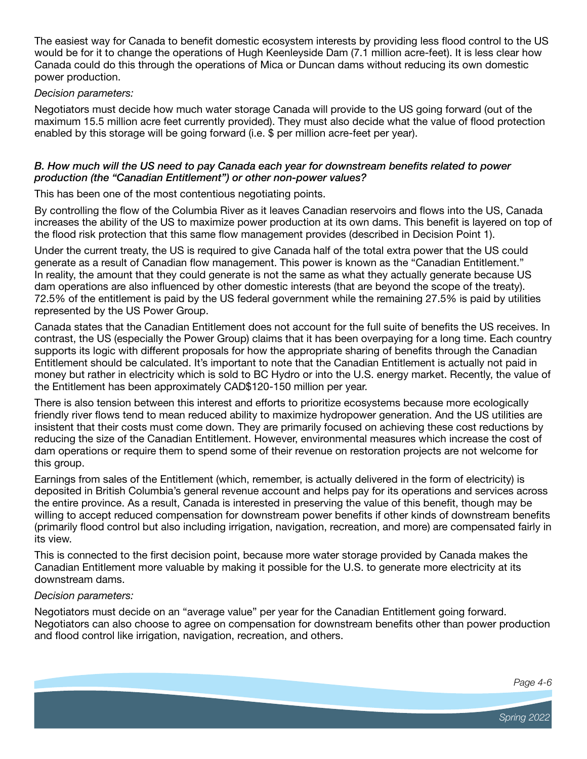The easiest way for Canada to benefit domestic ecosystem interests by providing less flood control to the US would be for it to change the operations of Hugh Keenleyside Dam (7.1 million acre-feet). It is less clear how Canada could do this through the operations of Mica or Duncan dams without reducing its own domestic power production.

#### *Decision parameters:*

Negotiators must decide how much water storage Canada will provide to the US going forward (out of the maximum 15.5 million acre feet currently provided). They must also decide what the value of flood protection enabled by this storage will be going forward (i.e. \$ per million acre-feet per year).

### *B. How much will the US need to pay Canada each year for downstream benefits related to power production (the "Canadian Entitlement") or other non-power values?*

This has been one of the most contentious negotiating points.

By controlling the flow of the Columbia River as it leaves Canadian reservoirs and flows into the US, Canada increases the ability of the US to maximize power production at its own dams. This benefit is layered on top of the flood risk protection that this same flow management provides (described in Decision Point 1).

Under the current treaty, the US is required to give Canada half of the total extra power that the US could generate as a result of Canadian flow management. This power is known as the "Canadian Entitlement." In reality, the amount that they could generate is not the same as what they actually generate because US dam operations are also influenced by other domestic interests (that are beyond the scope of the treaty). 72.5% of the entitlement is paid by the US federal government while the remaining 27.5% is paid by utilities represented by the US Power Group.

Canada states that the Canadian Entitlement does not account for the full suite of benefits the US receives. In contrast, the US (especially the Power Group) claims that it has been overpaying for a long time. Each country supports its logic with different proposals for how the appropriate sharing of benefits through the Canadian Entitlement should be calculated. It's important to note that the Canadian Entitlement is actually not paid in money but rather in electricity which is sold to BC Hydro or into the U.S. energy market. Recently, the value of the Entitlement has been approximately CAD\$120-150 million per year.

There is also tension between this interest and efforts to prioritize ecosystems because more ecologically friendly river flows tend to mean reduced ability to maximize hydropower generation. And the US utilities are insistent that their costs must come down. They are primarily focused on achieving these cost reductions by reducing the size of the Canadian Entitlement. However, environmental measures which increase the cost of dam operations or require them to spend some of their revenue on restoration projects are not welcome for this group.

Earnings from sales of the Entitlement (which, remember, is actually delivered in the form of electricity) is deposited in British Columbia's general revenue account and helps pay for its operations and services across the entire province. As a result, Canada is interested in preserving the value of this benefit, though may be willing to accept reduced compensation for downstream power benefits if other kinds of downstream benefits (primarily flood control but also including irrigation, navigation, recreation, and more) are compensated fairly in its view.

This is connected to the first decision point, because more water storage provided by Canada makes the Canadian Entitlement more valuable by making it possible for the U.S. to generate more electricity at its downstream dams.

### *Decision parameters:*

Negotiators must decide on an "average value" per year for the Canadian Entitlement going forward. Negotiators can also choose to agree on compensation for downstream benefits other than power production and flood control like irrigation, navigation, recreation, and others.

*Page 4-6*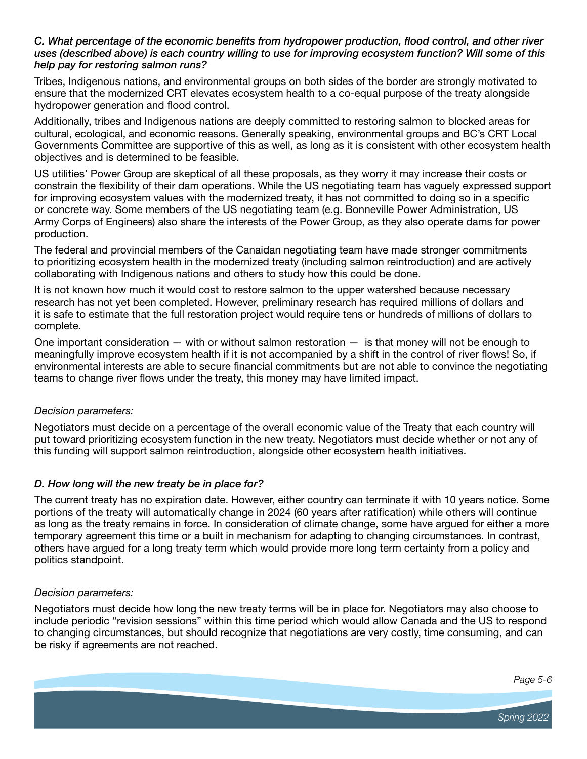### *C. What percentage of the economic benefits from hydropower production, flood control, and other river uses (described above) is each country willing to use for improving ecosystem function? Will some of this help pay for restoring salmon runs?*

Tribes, Indigenous nations, and environmental groups on both sides of the border are strongly motivated to ensure that the modernized CRT elevates ecosystem health to a co-equal purpose of the treaty alongside hydropower generation and flood control.

Additionally, tribes and Indigenous nations are deeply committed to restoring salmon to blocked areas for cultural, ecological, and economic reasons. Generally speaking, environmental groups and BC's CRT Local Governments Committee are supportive of this as well, as long as it is consistent with other ecosystem health objectives and is determined to be feasible.

US utilities' Power Group are skeptical of all these proposals, as they worry it may increase their costs or constrain the flexibility of their dam operations. While the US negotiating team has vaguely expressed support for improving ecosystem values with the modernized treaty, it has not committed to doing so in a specific or concrete way. Some members of the US negotiating team (e.g. Bonneville Power Administration, US Army Corps of Engineers) also share the interests of the Power Group, as they also operate dams for power production.

The federal and provincial members of the Canaidan negotiating team have made stronger commitments to prioritizing ecosystem health in the modernized treaty (including salmon reintroduction) and are actively collaborating with Indigenous nations and others to study how this could be done.

It is not known how much it would cost to restore salmon to the upper watershed because necessary research has not yet been completed. However, preliminary research has required millions of dollars and it is safe to estimate that the full restoration project would require tens or hundreds of millions of dollars to complete.

One important consideration  $-$  with or without salmon restoration  $-$  is that money will not be enough to meaningfully improve ecosystem health if it is not accompanied by a shift in the control of river flows! So, if environmental interests are able to secure financial commitments but are not able to convince the negotiating teams to change river flows under the treaty, this money may have limited impact.

### *Decision parameters:*

Negotiators must decide on a percentage of the overall economic value of the Treaty that each country will put toward prioritizing ecosystem function in the new treaty. Negotiators must decide whether or not any of this funding will support salmon reintroduction, alongside other ecosystem health initiatives.

### *D. How long will the new treaty be in place for?*

The current treaty has no expiration date. However, either country can terminate it with 10 years notice. Some portions of the treaty will automatically change in 2024 (60 years after ratification) while others will continue as long as the treaty remains in force. In consideration of climate change, some have argued for either a more temporary agreement this time or a built in mechanism for adapting to changing circumstances. In contrast, others have argued for a long treaty term which would provide more long term certainty from a policy and politics standpoint.

#### *Decision parameters:*

Negotiators must decide how long the new treaty terms will be in place for. Negotiators may also choose to include periodic "revision sessions" within this time period which would allow Canada and the US to respond to changing circumstances, but should recognize that negotiations are very costly, time consuming, and can be risky if agreements are not reached.

*Page 5-6*